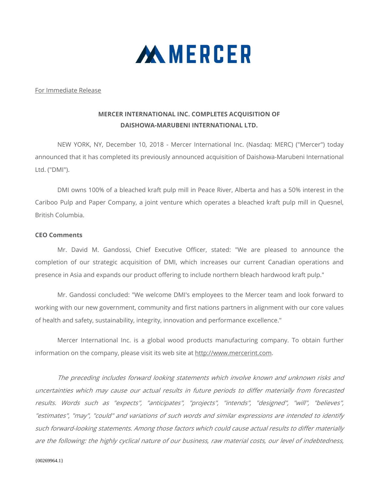

## For Immediate Release

## **MERCER INTERNATIONAL INC. COMPLETES ACQUISITION OF DAISHOWA-MARUBENI INTERNATIONAL LTD.**

NEW YORK, NY, December 10, 2018 - Mercer International Inc. (Nasdaq: MERC) ("Mercer") today announced that it has completed its previously announced acquisition of Daishowa-Marubeni International Ltd. ("DMI").

DMI owns 100% of a bleached kraft pulp mill in Peace River, Alberta and has a 50% interest in the Cariboo Pulp and Paper Company, a joint venture which operates a bleached kraft pulp mill in Quesnel, British Columbia.

## **CEO Comments**

Mr. David M. Gandossi, Chief Executive Officer, stated: "We are pleased to announce the completion of our strategic acquisition of DMI, which increases our current Canadian operations and presence in Asia and expands our product offering to include northern bleach hardwood kraft pulp."

Mr. Gandossi concluded: "We welcome DMI's employees to the Mercer team and look forward to working with our new government, community and first nations partners in alignment with our core values of health and safety, sustainability, integrity, innovation and performance excellence."

 Mercer International Inc. is a global wood products manufacturing company. To obtain further information on the company, please visit its web site at http://www.mercerint.com.

The preceding includes forward looking statements which involve known and unknown risks and uncertainties which may cause our actual results in future periods to differ materially from forecasted results. Words such as "expects", "anticipates", "projects", "intends", "designed", "will", "believes", "estimates", "may", "could" and variations of such words and similar expressions are intended to identify such forward‐looking statements. Among those factors which could cause actual results to differ materially are the following: the highly cyclical nature of our business, raw material costs, our level of indebtedness,